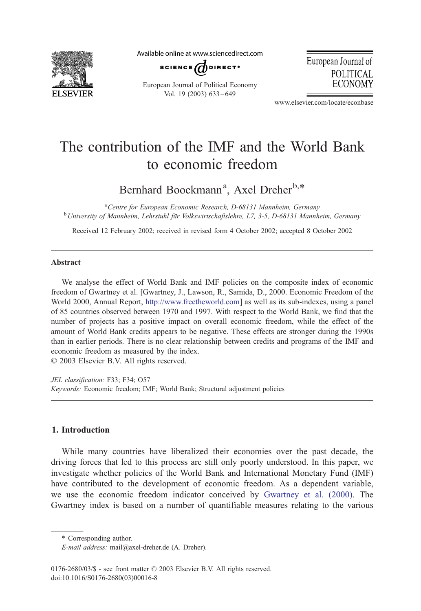

Available online at www.sciencedirect.com



European Journal of Political Economy Vol. 19 (2003) 633 – 649

European Journal of **POLITICAL ECONOMY** 

www.elsevier.com/locate/econbase

## The contribution of the IMF and the World Bank to economic freedom

Bernhard Boockmann<sup>a</sup>, Axel Dreher<sup>b,\*</sup>

<sup>a</sup> Centre for European Economic Research, D-68131 Mannheim, Germany <sup>a</sup> Centre for European Economic Research, D-68131 Mannheim, Germany<br><sup>b</sup> University of Mannheim, Lehrstuhl für Volkswirtschaftslehre, L7, 3-5, D-68131 Mannheim, Germany

Received 12 February 2002; received in revised form 4 October 2002; accepted 8 October 2002

## Abstract

We analyse the effect of World Bank and IMF policies on the composite index of economic freedom of Gwartney et al. [Gwartney, J., Lawson, R., Samida, D., 2000. Economic Freedom of the World 2000, Annual Report, [http://www.freetheworld.com\]]( http:\\www.freetheworld.com ) as well as its sub-indexes, using a panel of 85 countries observed between 1970 and 1997. With respect to the World Bank, we find that the number of projects has a positive impact on overall economic freedom, while the effect of the amount of World Bank credits appears to be negative. These effects are stronger during the 1990s than in earlier periods. There is no clear relationship between credits and programs of the IMF and economic freedom as measured by the index.

 $\odot$  2003 Elsevier B.V. All rights reserved.

JEL classification: F33; F34; O57 Keywords: Economic freedom; IMF; World Bank; Structural adjustment policies

## 1. Introduction

While many countries have liberalized their economies over the past decade, the driving forces that led to this process are still only poorly understood. In this paper, we investigate whether policies of the World Bank and International Monetary Fund (IMF) have contributed to the development of economic freedom. As a dependent variable, we use the economic freedom indicator conceived by [Gwartney et al. \(2000\).](#page--1-0) The Gwartney index is based on a number of quantifiable measures relating to the various

<sup>\*</sup> Corresponding author.

E-mail address: mail@axel-dreher.de (A. Dreher).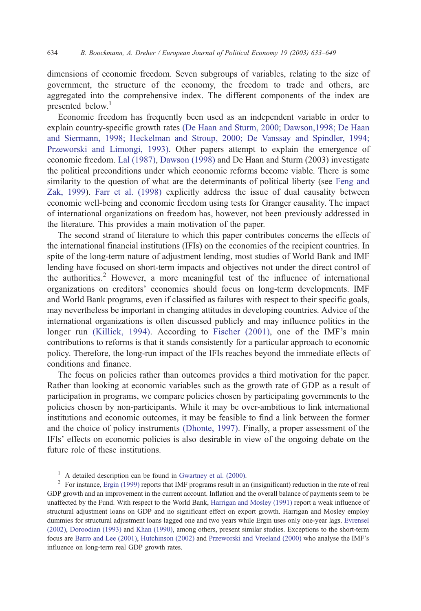dimensions of economic freedom. Seven subgroups of variables, relating to the size of government, the structure of the economy, the freedom to trade and others, are aggregated into the comprehensive index. The different components of the index are presented below.<sup>1</sup>

Economic freedom has frequently been used as an independent variable in order to explain country-specific growth rates [\(De Haan and Sturm, 2000; Dawson,1998; De Haan](#page--1-0) and Siermann, 1998; Heckelman and Stroup, 2000; De Vanssay and Spindler, 1994; Przeworski and Limongi, 1993). Other papers attempt to explain the emergence of economic freedom. [Lal \(1987\),](#page--1-0) [Dawson \(1998\)](#page--1-0) and De Haan and Sturm (2003) investigate the political preconditions under which economic reforms become viable. There is some similarity to the question of what are the determinants of political liberty (see [Feng and](#page--1-0) Zak, 1999). [Farr et al. \(1998\)](#page--1-0) explicitly address the issue of dual causality between economic well-being and economic freedom using tests for Granger causality. The impact of international organizations on freedom has, however, not been previously addressed in the literature. This provides a main motivation of the paper.

The second strand of literature to which this paper contributes concerns the effects of the international financial institutions (IFIs) on the economies of the recipient countries. In spite of the long-term nature of adjustment lending, most studies of World Bank and IMF lending have focused on short-term impacts and objectives not under the direct control of the authorities.<sup>2</sup> However, a more meaningful test of the influence of international organizations on creditors' economies should focus on long-term developments. IMF and World Bank programs, even if classified as failures with respect to their specific goals, may nevertheless be important in changing attitudes in developing countries. Advice of the international organizations is often discussed publicly and may influence politics in the longer run [\(Killick, 1994\).](#page--1-0) According to [Fischer \(2001\),](#page--1-0) one of the IMF's main contributions to reforms is that it stands consistently for a particular approach to economic policy. Therefore, the long-run impact of the IFIs reaches beyond the immediate effects of conditions and finance.

The focus on policies rather than outcomes provides a third motivation for the paper. Rather than looking at economic variables such as the growth rate of GDP as a result of participation in programs, we compare policies chosen by participating governments to the policies chosen by non-participants. While it may be over-ambitious to link international institutions and economic outcomes, it may be feasible to find a link between the former and the choice of policy instruments [\(Dhonte, 1997\).](#page--1-0) Finally, a proper assessment of the IFIs' effects on economic policies is also desirable in view of the ongoing debate on the future role of these institutions.

<sup>&</sup>lt;sup>1</sup> A detailed description can be found in [Gwartney et al. \(2000\).](#page--1-0)<br><sup>2</sup> For instance, [Ergin \(1999\)](#page--1-0) reports that IMF programs result in an (insignificant) reduction in the rate of real GDP growth and an improvement in the current account. Inflation and the overall balance of payments seem to be unaffected by the Fund. With respect to the World Bank, [Harrigan and Mosley \(1991\)](#page--1-0) report a weak influence of structural adjustment loans on GDP and no significant effect on export growth. Harrigan and Mosley employ dummies for structural adjustment loans lagged one and two years while Ergin uses only one-year lags. [Evrensel](#page--1-0) (2002), [Doroodian \(1993\)](#page--1-0) and [Khan \(1990\),](#page--1-0) among others, present similar studies. Exceptions to the short-term focus are [Barro and Lee \(2001\),](#page--1-0) [Hutchinson \(2002\)](#page--1-0) and [Przeworski and Vreeland \(2000\)](#page--1-0) who analyse the IMF's influence on long-term real GDP growth rates.